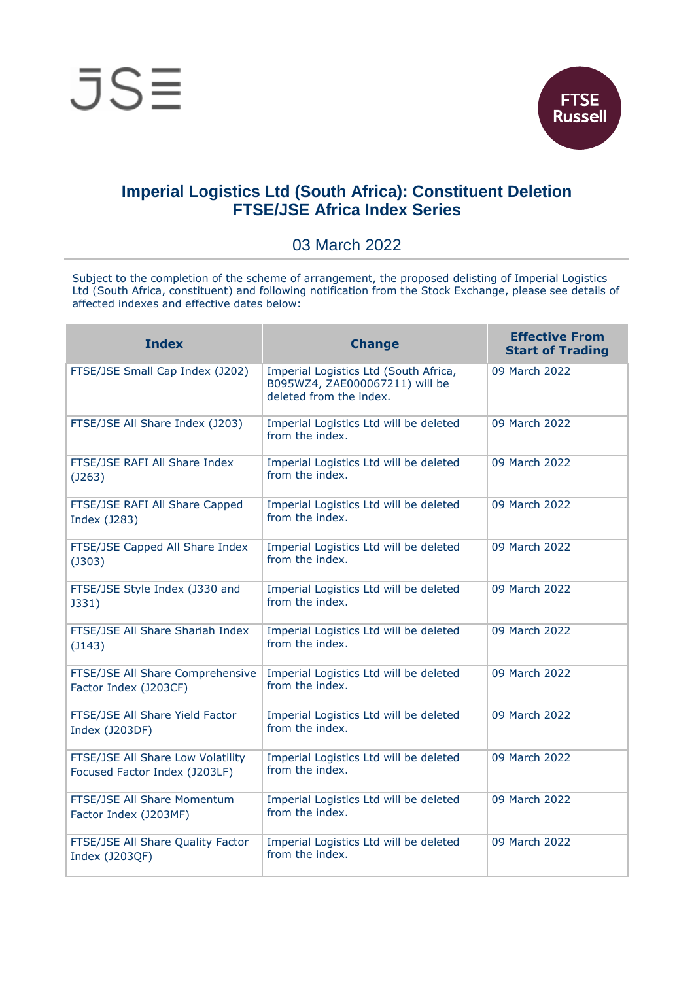



## **Imperial Logistics Ltd (South Africa): Constituent Deletion FTSE/JSE Africa Index Series**

## 03 March 2022

Subject to the completion of the scheme of arrangement, the proposed delisting of Imperial Logistics Ltd (South Africa, constituent) and following notification from the Stock Exchange, please see details of affected indexes and effective dates below:

| <b>Index</b>                                                       | <b>Change</b>                                                                                      | <b>Effective From</b><br><b>Start of Trading</b> |
|--------------------------------------------------------------------|----------------------------------------------------------------------------------------------------|--------------------------------------------------|
| FTSE/JSE Small Cap Index (J202)                                    | Imperial Logistics Ltd (South Africa,<br>B095WZ4, ZAE000067211) will be<br>deleted from the index. | 09 March 2022                                    |
| FTSE/JSE All Share Index (J203)                                    | Imperial Logistics Ltd will be deleted<br>from the index.                                          | 09 March 2022                                    |
| FTSE/JSE RAFI All Share Index<br>(J263)                            | Imperial Logistics Ltd will be deleted<br>from the index.                                          | 09 March 2022                                    |
| FTSE/JSE RAFI All Share Capped<br>Index (J283)                     | Imperial Logistics Ltd will be deleted<br>from the index.                                          | 09 March 2022                                    |
| FTSE/JSE Capped All Share Index<br>(J303)                          | Imperial Logistics Ltd will be deleted<br>from the index.                                          | 09 March 2022                                    |
| FTSE/JSE Style Index (J330 and<br><b>J331)</b>                     | Imperial Logistics Ltd will be deleted<br>from the index.                                          | 09 March 2022                                    |
| FTSE/JSE All Share Shariah Index<br>$($ $143)$                     | Imperial Logistics Ltd will be deleted<br>from the index.                                          | 09 March 2022                                    |
| FTSE/JSE All Share Comprehensive<br>Factor Index (J203CF)          | Imperial Logistics Ltd will be deleted<br>from the index.                                          | 09 March 2022                                    |
| FTSE/JSE All Share Yield Factor<br>Index (J203DF)                  | Imperial Logistics Ltd will be deleted<br>from the index.                                          | 09 March 2022                                    |
| FTSE/JSE All Share Low Volatility<br>Focused Factor Index (J203LF) | Imperial Logistics Ltd will be deleted<br>from the index.                                          | 09 March 2022                                    |
| FTSE/JSE All Share Momentum<br>Factor Index (J203MF)               | Imperial Logistics Ltd will be deleted<br>from the index.                                          | 09 March 2022                                    |
| FTSE/JSE All Share Quality Factor<br>Index (J203QF)                | Imperial Logistics Ltd will be deleted<br>from the index.                                          | 09 March 2022                                    |